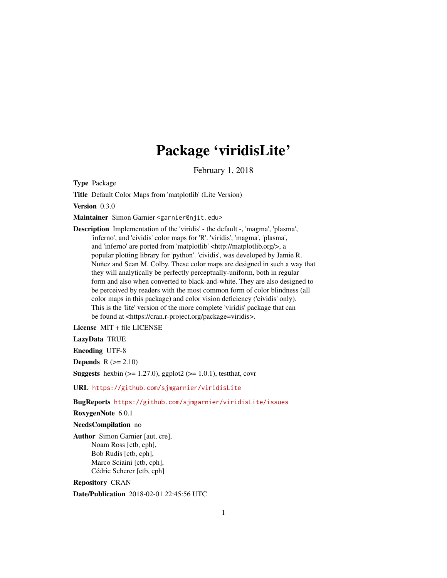## Package 'viridisLite'

February 1, 2018

<span id="page-0-0"></span>Type Package

Title Default Color Maps from 'matplotlib' (Lite Version)

Version 0.3.0

Maintainer Simon Garnier <garnier@njit.edu>

Description Implementation of the 'viridis' - the default -, 'magma', 'plasma', 'inferno', and 'cividis' color maps for 'R'. 'viridis', 'magma', 'plasma', and 'inferno' are ported from 'matplotlib' <http://matplotlib.org/>, a popular plotting library for 'python'. 'cividis', was developed by Jamie R. Nuñez and Sean M. Colby. These color maps are designed in such a way that they will analytically be perfectly perceptually-uniform, both in regular form and also when converted to black-and-white. They are also designed to be perceived by readers with the most common form of color blindness (all color maps in this package) and color vision deficiency ('cividis' only). This is the 'lite' version of the more complete 'viridis' package that can be found at <https://cran.r-project.org/package=viridis>.

License MIT + file LICENSE

LazyData TRUE

Encoding UTF-8

**Depends**  $R$  ( $>= 2.10$ )

**Suggests** hexbin  $(>= 1.27.0)$ , ggplot2  $(>= 1.0.1)$ , testthat, covr

URL <https://github.com/sjmgarnier/viridisLite>

BugReports <https://github.com/sjmgarnier/viridisLite/issues>

RoxygenNote 6.0.1

#### NeedsCompilation no

Author Simon Garnier [aut, cre], Noam Ross [ctb, cph], Bob Rudis [ctb, cph], Marco Sciaini [ctb, cph], Cédric Scherer [ctb, cph]

Repository CRAN

Date/Publication 2018-02-01 22:45:56 UTC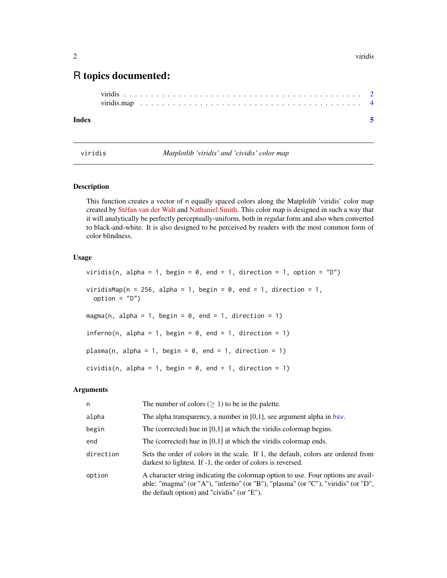### <span id="page-1-0"></span>R topics documented:

#### **Index** [5](#page-4-0). The second state of the second state of the second state of the second state of the second state of the second state of the second state of the second state of the second state of the second state of the second

viridis *Matplotlib 'viridis' and 'cividis' color map*

#### Description

This function creates a vector of n equally spaced colors along the Matplolib 'viridis' color map created by [Stéfan van der Walt](https://github.com/stefanv) and [Nathaniel Smith.](https://github.com/njsmith) This color map is designed in such a way that it will analytically be perfectly perceptually-uniform, both in regular form and also when converted to black-and-white. It is also designed to be perceived by readers with the most common form of color blindness.

#### Usage

viridis(n, alpha = 1, begin = 0, end = 1, direction = 1, option =  $"D"$ ) viridisMap(n = 256, alpha = 1, begin = 0, end = 1, direction = 1,  $option = "D")$ magma(n, alpha = 1, begin = 0, end = 1, direction = 1) inferno(n, alpha = 1, begin = 0, end = 1, direction = 1) plasma(n, alpha = 1, begin = 0, end = 1, direction = 1) cividis(n, alpha = 1, begin = 0, end = 1, direction = 1)

#### Arguments

| n         | The number of colors ( $\geq$ 1) to be in the palette.                                                                                                                                                                |
|-----------|-----------------------------------------------------------------------------------------------------------------------------------------------------------------------------------------------------------------------|
| alpha     | The alpha transparency, a number in $[0,1]$ , see argument alpha in hsv.                                                                                                                                              |
| begin     | The (corrected) hue in $[0,1]$ at which the viridis colormap begins.                                                                                                                                                  |
| end       | The (corrected) hue in $[0,1]$ at which the viridis colormap ends.                                                                                                                                                    |
| direction | Sets the order of colors in the scale. If 1, the default, colors are ordered from<br>darkest to lightest. If -1, the order of colors is reversed.                                                                     |
| option    | A character string indicating the colormap option to use. Four options are avail-<br>able: "magma" (or "A"), "inferno" (or "B"), "plasma" (or "C"), "viridis" (or "D",<br>the default option) and "cividis" (or "E"). |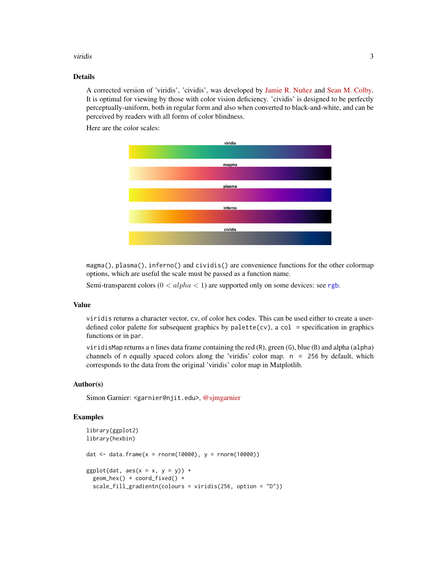#### <span id="page-2-0"></span>viridis 3

#### Details

A corrected version of 'viridis', 'cividis', was developed by [Jamie R. Nuñez](https://github.com/jamienunez) and [Sean M. Colby.](https://github.com/smcolby) It is optimal for viewing by those with color vision deficiency. 'cividis' is designed to be perfectly perceptually-uniform, both in regular form and also when converted to black-and-white, and can be perceived by readers with all forms of color blindness.

Here are the color scales:



magma(), plasma(), inferno() and cividis() are convenience functions for the other colormap options, which are useful the scale must be passed as a function name.

Semi-transparent colors  $(0 < alpha < 1)$  are supported only on some devices: see [rgb](#page-0-0).

#### Value

viridis returns a character vector, cv, of color hex codes. This can be used either to create a userdefined color palette for subsequent graphics by palette(cv), a col = specification in graphics functions or in par.

viridisMap returns a n lines data frame containing the red (R), green (G), blue (B) and alpha (alpha) channels of n equally spaced colors along the 'viridis' color map. n = 256 by default, which corresponds to the data from the original 'viridis' color map in Matplotlib.

#### Author(s)

Simon Garnier: <garnier@njit.edu>, [@sjmgarnier](https://twitter.com/sjmgarnier)

#### Examples

```
library(ggplot2)
library(hexbin)
dat <- data.frame(x = rnorm(10000), y = rnorm(10000))
ggplot(data, aes(x = x, y = y)) +
 geom_hex() + coord_fixed() +
 scale_fill_gradientn(colours = viridis(256, option = "D"))
```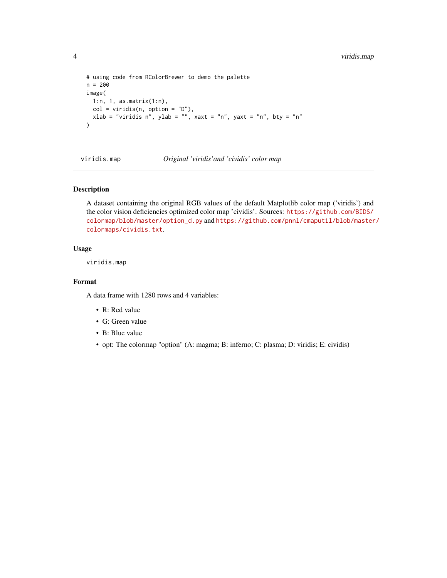```
# using code from RColorBrewer to demo the palette
n = 200
image(
 1:n, 1, as.matrix(1:n),
 col = viridis(n, option = "D"),
 xlab = "viridis n", ylab = "", xaxt = "n", yaxt = "n", bty = "n"
\mathcal{L}
```
viridis.map *Original 'viridis'and 'cividis' color map*

#### Description

A dataset containing the original RGB values of the default Matplotlib color map ('viridis') and the color vision deficiencies optimized color map 'cividis'. Sources: [https://github.com/BIDS/](https://github.com/BIDS/colormap/blob/master/option_d.py) [colormap/blob/master/option\\_d.py](https://github.com/BIDS/colormap/blob/master/option_d.py) and [https://github.com/pnnl/cmaputil/blob/master](https://github.com/pnnl/cmaputil/blob/master/colormaps/cividis.txt)/ [colormaps/cividis.txt](https://github.com/pnnl/cmaputil/blob/master/colormaps/cividis.txt).

#### Usage

viridis.map

#### Format

A data frame with 1280 rows and 4 variables:

- R: Red value
- G: Green value
- B: Blue value
- opt: The colormap "option" (A: magma; B: inferno; C: plasma; D: viridis; E: cividis)

<span id="page-3-0"></span>